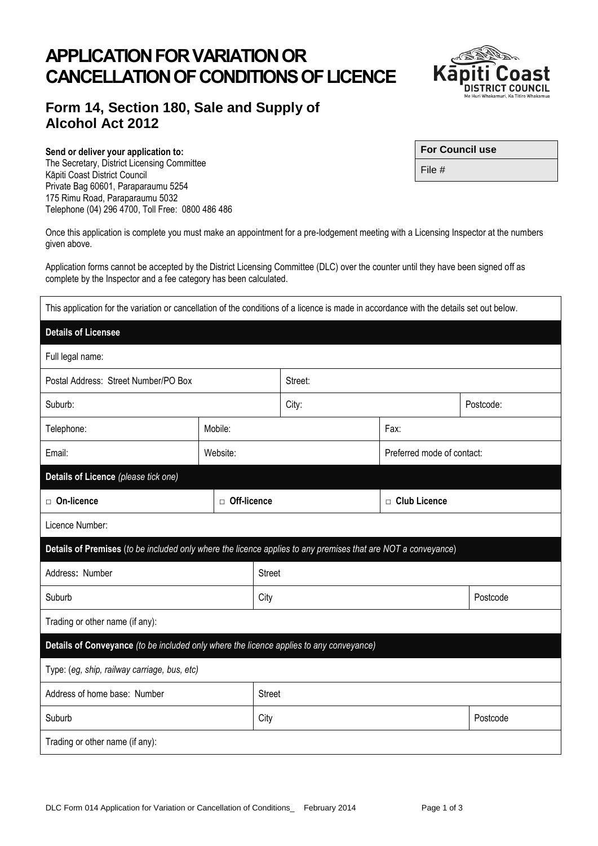## **APPLICATION FOR VARIATION OR CANCELLATION OF CONDITIONS OF LICENCE**

## **Form 14, Section 180, Sale and Supply of Alcohol Act 2012**

## **Send or deliver your application to:**

The Secretary, District Licensing Committee Kāpiti Coast District Council Private Bag 60601, Paraparaumu 5254 175 Rimu Road, Paraparaumu 5032 Telephone (04) 296 4700, Toll Free: 0800 486 486

Once this application is complete you must make an appointment for a pre-lodgement meeting with a Licensing Inspector at the numbers given above.

Application forms cannot be accepted by the District Licensing Committee (DLC) over the counter until they have been signed off as complete by the Inspector and a fee category has been calculated.

This application for the variation or cancellation of the conditions of a licence is made in accordance with the details set out below.

| <b>Details of Licensee</b>                                                                                    |               |      |               |                            |           |  |
|---------------------------------------------------------------------------------------------------------------|---------------|------|---------------|----------------------------|-----------|--|
| Full legal name:                                                                                              |               |      |               |                            |           |  |
| Postal Address: Street Number/PO Box                                                                          |               |      | Street:       |                            |           |  |
| Suburb:                                                                                                       |               |      | City:         |                            | Postcode: |  |
| Telephone:                                                                                                    | Mobile:       |      |               | Fax:                       |           |  |
| Email:                                                                                                        | Website:      |      |               | Preferred mode of contact: |           |  |
| Details of Licence (please tick one)                                                                          |               |      |               |                            |           |  |
| □ On-licence                                                                                                  | □ Off-licence |      |               | $\Box$ Club Licence        |           |  |
| Licence Number:                                                                                               |               |      |               |                            |           |  |
| Details of Premises (to be included only where the licence applies to any premises that are NOT a conveyance) |               |      |               |                            |           |  |
| Address: Number                                                                                               |               |      | <b>Street</b> |                            |           |  |
| Suburb                                                                                                        |               | City |               | Postcode                   |           |  |
| Trading or other name (if any):                                                                               |               |      |               |                            |           |  |
| Details of Conveyance (to be included only where the licence applies to any conveyance)                       |               |      |               |                            |           |  |
| Type: (eg, ship, railway carriage, bus, etc)                                                                  |               |      |               |                            |           |  |
| Address of home base: Number                                                                                  |               |      | Street        |                            |           |  |
| Suburb                                                                                                        |               | City |               | Postcode                   |           |  |
| Trading or other name (if any):                                                                               |               |      |               |                            |           |  |
|                                                                                                               |               |      |               |                            |           |  |



| <b>For Council use</b> |  |
|------------------------|--|
|                        |  |

File #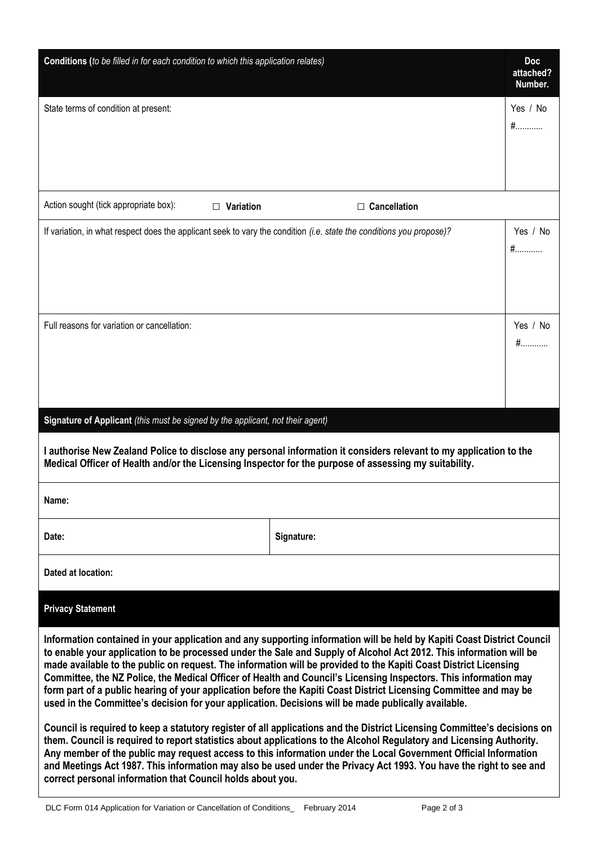| Conditions (to be filled in for each condition to which this application relates)                                    |                                                                                                                                                                                                                                                                                                                                                                                                                                                                                                                                                                                                           | <b>Doc</b><br>attached?<br>Number. |
|----------------------------------------------------------------------------------------------------------------------|-----------------------------------------------------------------------------------------------------------------------------------------------------------------------------------------------------------------------------------------------------------------------------------------------------------------------------------------------------------------------------------------------------------------------------------------------------------------------------------------------------------------------------------------------------------------------------------------------------------|------------------------------------|
| State terms of condition at present:                                                                                 |                                                                                                                                                                                                                                                                                                                                                                                                                                                                                                                                                                                                           | Yes / No<br>$#$                    |
| Action sought (tick appropriate box):<br>Variation<br>$\Box$                                                         | $\Box$ Cancellation                                                                                                                                                                                                                                                                                                                                                                                                                                                                                                                                                                                       |                                    |
| If variation, in what respect does the applicant seek to vary the condition (i.e. state the conditions you propose)? |                                                                                                                                                                                                                                                                                                                                                                                                                                                                                                                                                                                                           | Yes / No<br>$#$                    |
| Full reasons for variation or cancellation:                                                                          |                                                                                                                                                                                                                                                                                                                                                                                                                                                                                                                                                                                                           | Yes / No<br>#                      |
| Signature of Applicant (this must be signed by the applicant, not their agent)                                       |                                                                                                                                                                                                                                                                                                                                                                                                                                                                                                                                                                                                           |                                    |
| Medical Officer of Health and/or the Licensing Inspector for the purpose of assessing my suitability.                | I authorise New Zealand Police to disclose any personal information it considers relevant to my application to the                                                                                                                                                                                                                                                                                                                                                                                                                                                                                        |                                    |
| Name:                                                                                                                |                                                                                                                                                                                                                                                                                                                                                                                                                                                                                                                                                                                                           |                                    |
| Date:                                                                                                                | Signature:                                                                                                                                                                                                                                                                                                                                                                                                                                                                                                                                                                                                |                                    |
| Dated at location:                                                                                                   |                                                                                                                                                                                                                                                                                                                                                                                                                                                                                                                                                                                                           |                                    |
| <b>Privacy Statement</b>                                                                                             |                                                                                                                                                                                                                                                                                                                                                                                                                                                                                                                                                                                                           |                                    |
| used in the Committee's decision for your application. Decisions will be made publically available.                  | Information contained in your application and any supporting information will be held by Kapiti Coast District Council<br>to enable your application to be processed under the Sale and Supply of Alcohol Act 2012. This information will be<br>made available to the public on request. The information will be provided to the Kapiti Coast District Licensing<br>Committee, the NZ Police, the Medical Officer of Health and Council's Licensing Inspectors. This information may<br>form part of a public hearing of your application before the Kapiti Coast District Licensing Committee and may be |                                    |
|                                                                                                                      | Council is required to keep a statutory register of all applications and the District Licensing Committee's decisions on<br>them. Council is required to report statistics about applications to the Alcohol Regulatory and Licensing Authority.<br>Any member of the public may request access to this information under the Local Government Official Information<br>and Meetings Act 1987. This information may also be used under the Privacy Act 1993. You have the right to see and                                                                                                                 |                                    |

**correct personal information that Council holds about you.**